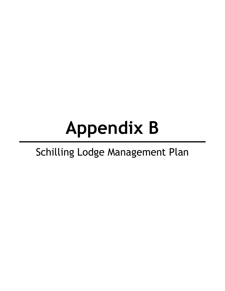# **Appendix B**

# Schilling Lodge Management Plan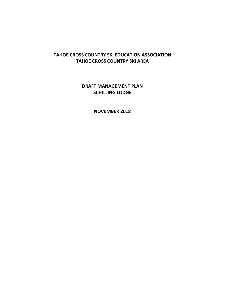## **TAHOE CROSS COUNTRY SKI EDUCATION ASSOCIATION TAHOE CROSS COUNTRY SKI AREA**

**DRAFT MANAGEMENT PLAN SCHILLING LODGE**

**NOVEMBER 2018**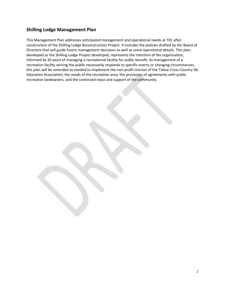### **Shilling Lodge Management Plan**

This Management Plan addresses anticipated management and operational needs at TXC after construction of the Shilling Lodge Reconstruction Project. It includes the policies drafted by the Board of Directors that will guide future management decisions as well as some operational details. This plan, developed as the Shilling Lodge Project developed, represents the intention of the organization, informed by 20 years of managing a recreational facility for public benefit. As management of a recreation facility serving the public necessarily responds to specific events or changing circumstances, this plan will be amended as needed to implement the non-profit mission of the Tahoe Cross Country Ski Education Association, the needs of the recreation area, the provisions of agreements with public recreation landowners, and the continued input and support of the community.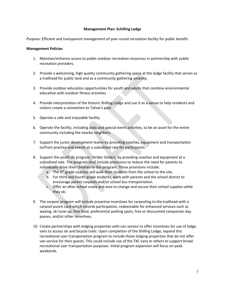#### **Management Plan: Schilling Lodge**

*Purpose*: Efficient and transparent management of year-round recreation facility for public benefit.

#### **Management Policies**

- 1. Maintain/enhance access to public outdoor recreation resources in partnership with public recreation providers.
- 2. Provide a welcoming, high quality community gathering space at the lodge facility that serves as a trailhead for public land and as a community gathering amenity.
- 3. Provide outdoor education opportunities for youth and adults that combine environmental education with outdoor fitness activities.
- 4. Provide interpretation of the historic Shilling Lodge and use it as a venue to help residents and visitors create a connection to Tahoe's past.
- 5. Operate a safe and enjoyable facility.
- 6. Operate the facility, including daily and special event activities, to be an asset for the entire community including the nearby neighbors.
- 7. Support the junior development teams by providing coaches, equipment and transportation to/from practice and events at a subsidized rate for participants.
- 8. Support the youth ski program, Strider Gliders, by providing coaches and equipment at a subsidized rate. The program shall include provisions to reduce the need for parents to individually drive their children to the program. These provisions include:
	- a. The  $5<sup>th</sup>$  grade coaches will walk their students from the school to the site.
	- b. For third and fourth grade students, work with parents and the school district to encourage parent carpools and/or school bus transportation.
	- c. Offer an after-school snack and area to change and secure their school supplies while they ski.
- 9. The carpool program will include proactive incentives for carpooling to the trailhead with a carpool punch card which records participation, redeemable for enhanced services such as waxing, ski tune-up, free food, preferential parking spots, free or discounted companion day passes, and/or other incentives.
- 10. Create partnerships with lodging properties with van service to offer incentives for use of lodge vans to access ski and bicycle trails. Upon completion of the Shilling Lodge, expand this recreational user transportation program to include those lodging properties that do not offer van service for their guests. This could include use of the TXC vans or others to support broad recreational user transportation purposes. Initial program expansion will focus on peak weekends.